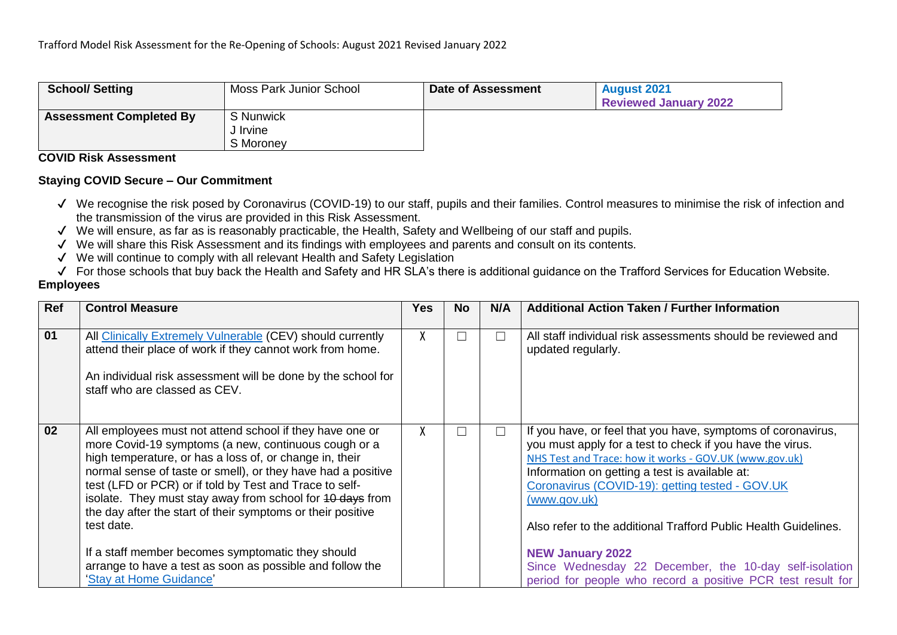| <b>School/Setting</b>          | Moss Park Junior School | Date of Assessment | <b>August 2021</b><br><b>Reviewed January 2022</b> |
|--------------------------------|-------------------------|--------------------|----------------------------------------------------|
| <b>Assessment Completed By</b> | S Nunwick               |                    |                                                    |
|                                | J Irvine                |                    |                                                    |
|                                | S Moroney               |                    |                                                    |

#### **COVID Risk Assessment**

### **Staying COVID Secure – Our Commitment**

- ✔ We recognise the risk posed by Coronavirus (COVID-19) to our staff, pupils and their families. Control measures to minimise the risk of infection and the transmission of the virus are provided in this Risk Assessment.
- ✔ We will ensure, as far as is reasonably practicable, the Health, Safety and Wellbeing of our staff and pupils.
- ✔ We will share this Risk Assessment and its findings with employees and parents and consult on its contents.
- ✔ We will continue to comply with all relevant Health and Safety Legislation
- ✔ For those schools that buy back the Health and Safety and HR SLA's there is additional guidance on the Trafford Services for Education Website.

### **Employees**

| Ref | <b>Control Measure</b>                                                                                                                                                                                                                                                                                                                                                                                                                                                                                                                                                                        | Yes | No.    | N/A | <b>Additional Action Taken / Further Information</b>                                                                                                                                                                                                                                                                                                                                                                                                                                                                            |
|-----|-----------------------------------------------------------------------------------------------------------------------------------------------------------------------------------------------------------------------------------------------------------------------------------------------------------------------------------------------------------------------------------------------------------------------------------------------------------------------------------------------------------------------------------------------------------------------------------------------|-----|--------|-----|---------------------------------------------------------------------------------------------------------------------------------------------------------------------------------------------------------------------------------------------------------------------------------------------------------------------------------------------------------------------------------------------------------------------------------------------------------------------------------------------------------------------------------|
| 01  | All Clinically Extremely Vulnerable (CEV) should currently<br>attend their place of work if they cannot work from home.<br>An individual risk assessment will be done by the school for<br>staff who are classed as CEV.                                                                                                                                                                                                                                                                                                                                                                      |     | $\Box$ |     | All staff individual risk assessments should be reviewed and<br>updated regularly.                                                                                                                                                                                                                                                                                                                                                                                                                                              |
| 02  | All employees must not attend school if they have one or<br>more Covid-19 symptoms (a new, continuous cough or a<br>high temperature, or has a loss of, or change in, their<br>normal sense of taste or smell), or they have had a positive<br>test (LFD or PCR) or if told by Test and Trace to self-<br>isolate. They must stay away from school for 40 days from<br>the day after the start of their symptoms or their positive<br>test date.<br>If a staff member becomes symptomatic they should<br>arrange to have a test as soon as possible and follow the<br>'Stay at Home Guidance' | X.  | П      | П   | If you have, or feel that you have, symptoms of coronavirus,<br>you must apply for a test to check if you have the virus.<br>NHS Test and Trace: how it works - GOV.UK (www.gov.uk)<br>Information on getting a test is available at:<br>Coronavirus (COVID-19): getting tested - GOV.UK<br>(www.gov.uk)<br>Also refer to the additional Trafford Public Health Guidelines.<br><b>NEW January 2022</b><br>Since Wednesday 22 December, the 10-day self-isolation<br>period for people who record a positive PCR test result for |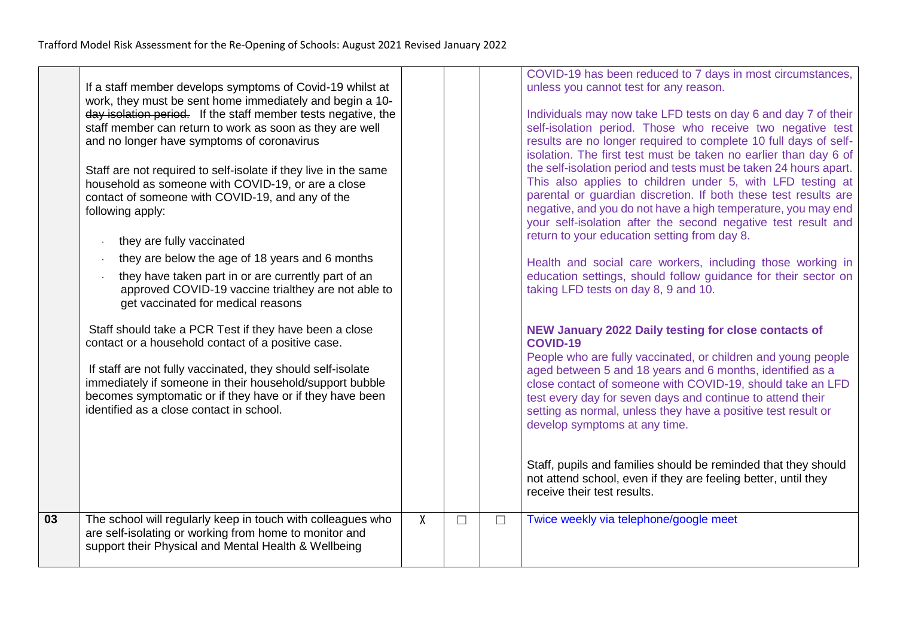| work, they must be sent home immediately and begin a 40-<br>day isolation period. If the staff member tests negative, the<br>staff member can return to work as soon as they are well<br>and no longer have symptoms of coronavirus<br>Staff are not required to self-isolate if they live in the same<br>household as someone with COVID-19, or are a close<br>contact of someone with COVID-19, and any of the<br>following apply:<br>they are fully vaccinated<br>they are below the age of 18 years and 6 months<br>$\cdot$<br>they have taken part in or are currently part of an<br>approved COVID-19 vaccine trialthey are not able to<br>get vaccinated for medical reasons<br>Staff should take a PCR Test if they have been a close<br>contact or a household contact of a positive case.<br>If staff are not fully vaccinated, they should self-isolate<br>immediately if someone in their household/support bubble<br>becomes symptomatic or if they have or if they have been<br>identified as a close contact in school. |                |        |        | Individuals may now take LFD tests on day 6 and day 7 of their<br>self-isolation period. Those who receive two negative test<br>results are no longer required to complete 10 full days of self-<br>isolation. The first test must be taken no earlier than day 6 of<br>the self-isolation period and tests must be taken 24 hours apart.<br>This also applies to children under 5, with LFD testing at<br>parental or guardian discretion. If both these test results are<br>negative, and you do not have a high temperature, you may end<br>your self-isolation after the second negative test result and<br>return to your education setting from day 8.<br>Health and social care workers, including those working in<br>education settings, should follow guidance for their sector on<br>taking LFD tests on day 8, 9 and 10.<br>NEW January 2022 Daily testing for close contacts of<br><b>COVID-19</b><br>People who are fully vaccinated, or children and young people<br>aged between 5 and 18 years and 6 months, identified as a<br>close contact of someone with COVID-19, should take an LFD<br>test every day for seven days and continue to attend their<br>setting as normal, unless they have a positive test result or<br>develop symptoms at any time.<br>Staff, pupils and families should be reminded that they should<br>not attend school, even if they are feeling better, until they<br>receive their test results. |
|----------------------------------------------------------------------------------------------------------------------------------------------------------------------------------------------------------------------------------------------------------------------------------------------------------------------------------------------------------------------------------------------------------------------------------------------------------------------------------------------------------------------------------------------------------------------------------------------------------------------------------------------------------------------------------------------------------------------------------------------------------------------------------------------------------------------------------------------------------------------------------------------------------------------------------------------------------------------------------------------------------------------------------------|----------------|--------|--------|------------------------------------------------------------------------------------------------------------------------------------------------------------------------------------------------------------------------------------------------------------------------------------------------------------------------------------------------------------------------------------------------------------------------------------------------------------------------------------------------------------------------------------------------------------------------------------------------------------------------------------------------------------------------------------------------------------------------------------------------------------------------------------------------------------------------------------------------------------------------------------------------------------------------------------------------------------------------------------------------------------------------------------------------------------------------------------------------------------------------------------------------------------------------------------------------------------------------------------------------------------------------------------------------------------------------------------------------------------------------------------------------------------------------------------------------|
| The school will regularly keep in touch with colleagues who<br>are self-isolating or working from home to monitor and<br>support their Physical and Mental Health & Wellbeing                                                                                                                                                                                                                                                                                                                                                                                                                                                                                                                                                                                                                                                                                                                                                                                                                                                          | $\overline{X}$ | $\Box$ | $\Box$ | Twice weekly via telephone/google meet                                                                                                                                                                                                                                                                                                                                                                                                                                                                                                                                                                                                                                                                                                                                                                                                                                                                                                                                                                                                                                                                                                                                                                                                                                                                                                                                                                                                         |
|                                                                                                                                                                                                                                                                                                                                                                                                                                                                                                                                                                                                                                                                                                                                                                                                                                                                                                                                                                                                                                        |                |        |        |                                                                                                                                                                                                                                                                                                                                                                                                                                                                                                                                                                                                                                                                                                                                                                                                                                                                                                                                                                                                                                                                                                                                                                                                                                                                                                                                                                                                                                                |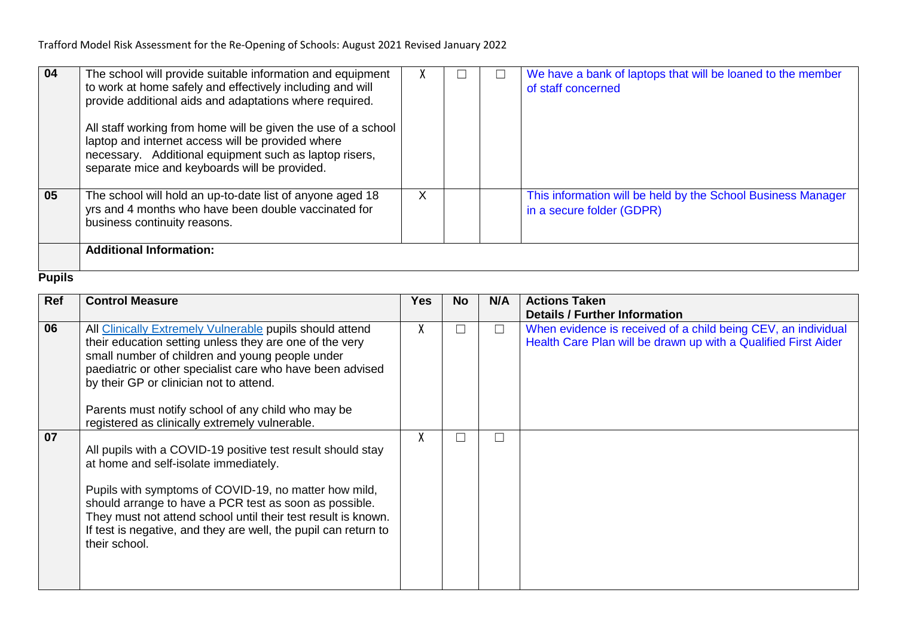| 04 | The school will provide suitable information and equipment<br>to work at home safely and effectively including and will<br>provide additional aids and adaptations where required.<br>All staff working from home will be given the use of a school<br>laptop and internet access will be provided where<br>necessary. Additional equipment such as laptop risers,<br>separate mice and keyboards will be provided. |   |  | We have a bank of laptops that will be loaned to the member<br>of staff concerned         |
|----|---------------------------------------------------------------------------------------------------------------------------------------------------------------------------------------------------------------------------------------------------------------------------------------------------------------------------------------------------------------------------------------------------------------------|---|--|-------------------------------------------------------------------------------------------|
| 05 | The school will hold an up-to-date list of anyone aged 18<br>yrs and 4 months who have been double vaccinated for<br>business continuity reasons.                                                                                                                                                                                                                                                                   | ⋏ |  | This information will be held by the School Business Manager<br>in a secure folder (GDPR) |
|    | <b>Additional Information:</b>                                                                                                                                                                                                                                                                                                                                                                                      |   |  |                                                                                           |

### **Pupils**

| Ref | <b>Control Measure</b>                                                                                                                                                                                                                                                                                                                                                                 | <b>Yes</b> | <b>No</b> | N/A    | <b>Actions Taken</b>                                                                                                            |
|-----|----------------------------------------------------------------------------------------------------------------------------------------------------------------------------------------------------------------------------------------------------------------------------------------------------------------------------------------------------------------------------------------|------------|-----------|--------|---------------------------------------------------------------------------------------------------------------------------------|
|     |                                                                                                                                                                                                                                                                                                                                                                                        |            |           |        | <b>Details / Further Information</b>                                                                                            |
| 06  | All Clinically Extremely Vulnerable pupils should attend<br>their education setting unless they are one of the very<br>small number of children and young people under<br>paediatric or other specialist care who have been advised<br>by their GP or clinician not to attend.<br>Parents must notify school of any child who may be<br>registered as clinically extremely vulnerable. | X          |           | $\Box$ | When evidence is received of a child being CEV, an individual<br>Health Care Plan will be drawn up with a Qualified First Aider |
| 07  | All pupils with a COVID-19 positive test result should stay<br>at home and self-isolate immediately.<br>Pupils with symptoms of COVID-19, no matter how mild,<br>should arrange to have a PCR test as soon as possible.<br>They must not attend school until their test result is known.<br>If test is negative, and they are well, the pupil can return to<br>their school.           | X          |           |        |                                                                                                                                 |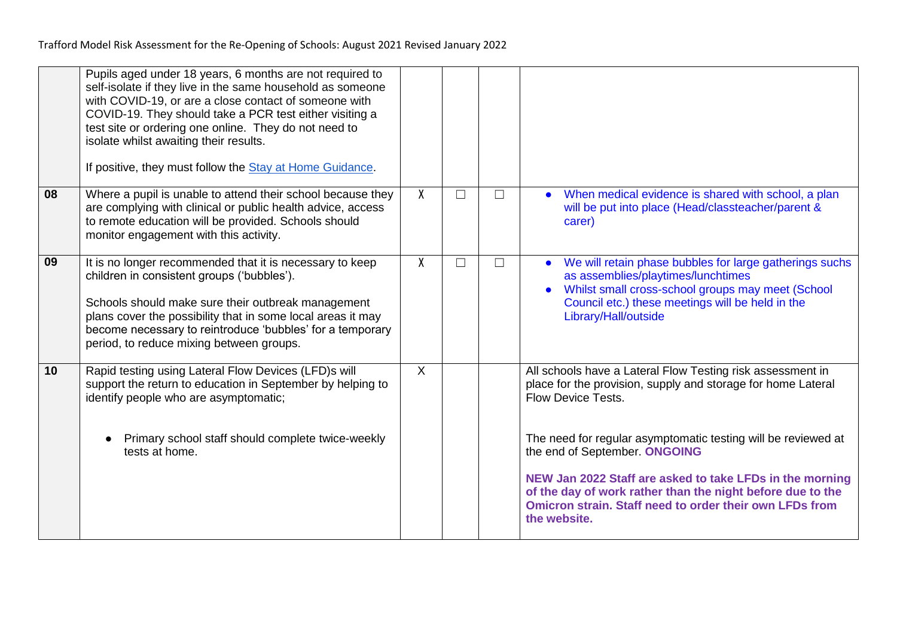|    | Pupils aged under 18 years, 6 months are not required to<br>self-isolate if they live in the same household as someone<br>with COVID-19, or are a close contact of someone with<br>COVID-19. They should take a PCR test either visiting a<br>test site or ordering one online. They do not need to<br>isolate whilst awaiting their results.<br>If positive, they must follow the Stay at Home Guidance. |                           |        |        |                                                                                                                                                                                                                                                                                                                                                                                                                                                                |
|----|-----------------------------------------------------------------------------------------------------------------------------------------------------------------------------------------------------------------------------------------------------------------------------------------------------------------------------------------------------------------------------------------------------------|---------------------------|--------|--------|----------------------------------------------------------------------------------------------------------------------------------------------------------------------------------------------------------------------------------------------------------------------------------------------------------------------------------------------------------------------------------------------------------------------------------------------------------------|
| 08 | Where a pupil is unable to attend their school because they<br>are complying with clinical or public health advice, access<br>to remote education will be provided. Schools should<br>monitor engagement with this activity.                                                                                                                                                                              | $\mathsf{X}$              | $\Box$ | $\Box$ | When medical evidence is shared with school, a plan<br>will be put into place (Head/classteacher/parent &<br>carer)                                                                                                                                                                                                                                                                                                                                            |
| 09 | It is no longer recommended that it is necessary to keep<br>children in consistent groups ('bubbles').<br>Schools should make sure their outbreak management<br>plans cover the possibility that in some local areas it may<br>become necessary to reintroduce 'bubbles' for a temporary<br>period, to reduce mixing between groups.                                                                      | X                         | $\Box$ | $\Box$ | We will retain phase bubbles for large gatherings suchs<br>as assemblies/playtimes/lunchtimes<br>Whilst small cross-school groups may meet (School<br>Council etc.) these meetings will be held in the<br>Library/Hall/outside                                                                                                                                                                                                                                 |
| 10 | Rapid testing using Lateral Flow Devices (LFD)s will<br>support the return to education in September by helping to<br>identify people who are asymptomatic;<br>Primary school staff should complete twice-weekly<br>tests at home.                                                                                                                                                                        | $\boldsymbol{\mathsf{X}}$ |        |        | All schools have a Lateral Flow Testing risk assessment in<br>place for the provision, supply and storage for home Lateral<br><b>Flow Device Tests.</b><br>The need for regular asymptomatic testing will be reviewed at<br>the end of September. ONGOING<br>NEW Jan 2022 Staff are asked to take LFDs in the morning<br>of the day of work rather than the night before due to the<br>Omicron strain. Staff need to order their own LFDs from<br>the website. |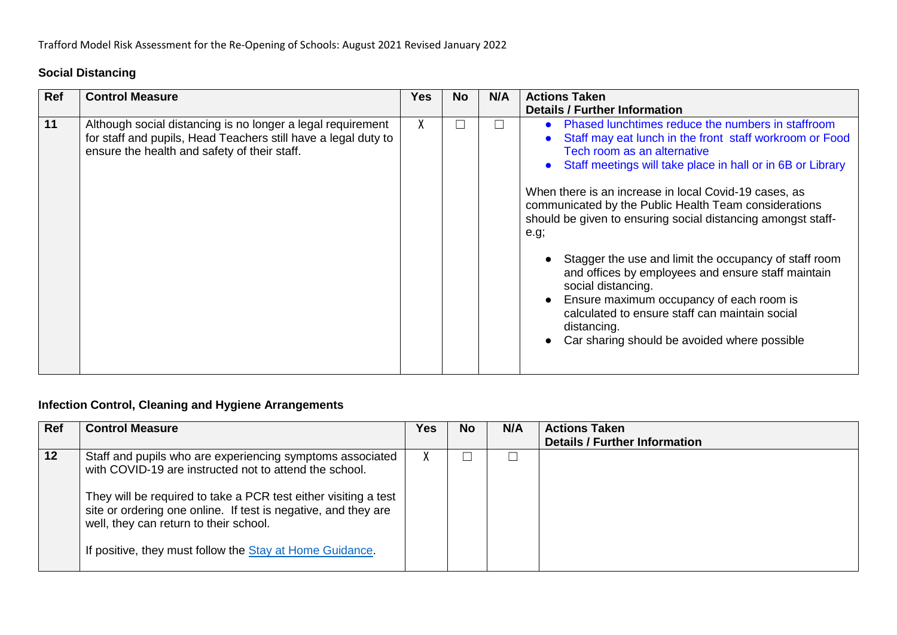## **Social Distancing**

| Ref | <b>Control Measure</b>                                                                                                                                                        | <b>Yes</b> | <b>No</b> | N/A | <b>Actions Taken</b>                                                                                                                                                                                                                                                                                                                                                                                                                                                                                                                                                                                                                                                                                               |
|-----|-------------------------------------------------------------------------------------------------------------------------------------------------------------------------------|------------|-----------|-----|--------------------------------------------------------------------------------------------------------------------------------------------------------------------------------------------------------------------------------------------------------------------------------------------------------------------------------------------------------------------------------------------------------------------------------------------------------------------------------------------------------------------------------------------------------------------------------------------------------------------------------------------------------------------------------------------------------------------|
|     |                                                                                                                                                                               |            |           |     | <b>Details / Further Information</b>                                                                                                                                                                                                                                                                                                                                                                                                                                                                                                                                                                                                                                                                               |
| 11  | Although social distancing is no longer a legal requirement<br>for staff and pupils, Head Teachers still have a legal duty to<br>ensure the health and safety of their staff. | Λ.         |           | П   | Phased lunchtimes reduce the numbers in staffroom<br>Staff may eat lunch in the front staff workroom or Food<br>Tech room as an alternative<br>Staff meetings will take place in hall or in 6B or Library<br>$\bullet$<br>When there is an increase in local Covid-19 cases, as<br>communicated by the Public Health Team considerations<br>should be given to ensuring social distancing amongst staff-<br>e.g;<br>Stagger the use and limit the occupancy of staff room<br>and offices by employees and ensure staff maintain<br>social distancing.<br>Ensure maximum occupancy of each room is<br>calculated to ensure staff can maintain social<br>distancing.<br>Car sharing should be avoided where possible |

# **Infection Control, Cleaning and Hygiene Arrangements**

| Ref | <b>Control Measure</b>                                                                                                                                                                                                                                                                                                                                         | Yes       | No | N/A | <b>Actions Taken</b>                 |
|-----|----------------------------------------------------------------------------------------------------------------------------------------------------------------------------------------------------------------------------------------------------------------------------------------------------------------------------------------------------------------|-----------|----|-----|--------------------------------------|
|     |                                                                                                                                                                                                                                                                                                                                                                |           |    |     | <b>Details / Further Information</b> |
| 12  | Staff and pupils who are experiencing symptoms associated<br>with COVID-19 are instructed not to attend the school.<br>They will be required to take a PCR test either visiting a test<br>site or ordering one online. If test is negative, and they are<br>well, they can return to their school.<br>If positive, they must follow the Stay at Home Guidance. | $\Lambda$ |    |     |                                      |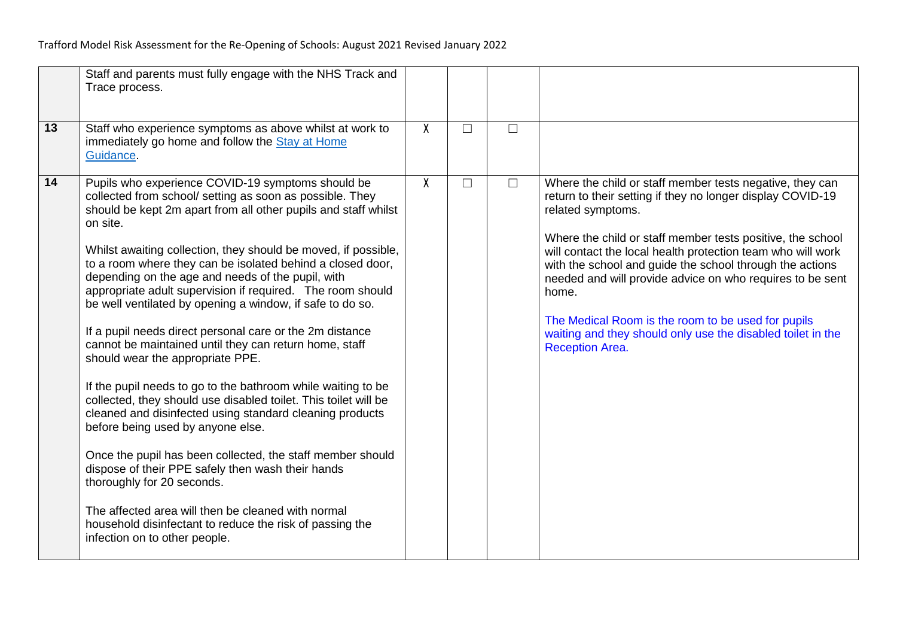|    | Staff and parents must fully engage with the NHS Track and<br>Trace process.                                                                                                                                                                                                                                                                                                                                                                                                                                                                                                                                                                                                                                                                                                                                                                                                                                                                                                                                                                                                                                                                                                                                  |   |   |        |                                                                                                                                                                                                                                                                                                                                                                                                                                                                                                                                                           |
|----|---------------------------------------------------------------------------------------------------------------------------------------------------------------------------------------------------------------------------------------------------------------------------------------------------------------------------------------------------------------------------------------------------------------------------------------------------------------------------------------------------------------------------------------------------------------------------------------------------------------------------------------------------------------------------------------------------------------------------------------------------------------------------------------------------------------------------------------------------------------------------------------------------------------------------------------------------------------------------------------------------------------------------------------------------------------------------------------------------------------------------------------------------------------------------------------------------------------|---|---|--------|-----------------------------------------------------------------------------------------------------------------------------------------------------------------------------------------------------------------------------------------------------------------------------------------------------------------------------------------------------------------------------------------------------------------------------------------------------------------------------------------------------------------------------------------------------------|
| 13 | Staff who experience symptoms as above whilst at work to<br>immediately go home and follow the Stay at Home<br>Guidance.                                                                                                                                                                                                                                                                                                                                                                                                                                                                                                                                                                                                                                                                                                                                                                                                                                                                                                                                                                                                                                                                                      | X | П | $\Box$ |                                                                                                                                                                                                                                                                                                                                                                                                                                                                                                                                                           |
| 14 | Pupils who experience COVID-19 symptoms should be<br>collected from school/ setting as soon as possible. They<br>should be kept 2m apart from all other pupils and staff whilst<br>on site.<br>Whilst awaiting collection, they should be moved, if possible,<br>to a room where they can be isolated behind a closed door,<br>depending on the age and needs of the pupil, with<br>appropriate adult supervision if required. The room should<br>be well ventilated by opening a window, if safe to do so.<br>If a pupil needs direct personal care or the 2m distance<br>cannot be maintained until they can return home, staff<br>should wear the appropriate PPE.<br>If the pupil needs to go to the bathroom while waiting to be<br>collected, they should use disabled toilet. This toilet will be<br>cleaned and disinfected using standard cleaning products<br>before being used by anyone else.<br>Once the pupil has been collected, the staff member should<br>dispose of their PPE safely then wash their hands<br>thoroughly for 20 seconds.<br>The affected area will then be cleaned with normal<br>household disinfectant to reduce the risk of passing the<br>infection on to other people. | χ | П | $\Box$ | Where the child or staff member tests negative, they can<br>return to their setting if they no longer display COVID-19<br>related symptoms.<br>Where the child or staff member tests positive, the school<br>will contact the local health protection team who will work<br>with the school and guide the school through the actions<br>needed and will provide advice on who requires to be sent<br>home.<br>The Medical Room is the room to be used for pupils<br>waiting and they should only use the disabled toilet in the<br><b>Reception Area.</b> |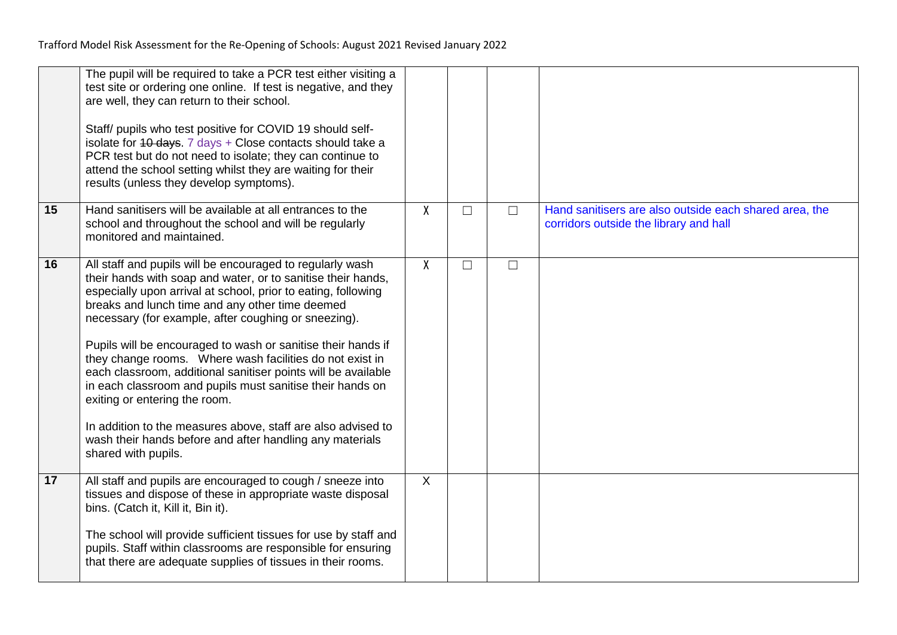|    | The pupil will be required to take a PCR test either visiting a<br>test site or ordering one online. If test is negative, and they<br>are well, they can return to their school.<br>Staff/ pupils who test positive for COVID 19 should self-<br>isolate for 40 days. 7 days + Close contacts should take a<br>PCR test but do not need to isolate; they can continue to<br>attend the school setting whilst they are waiting for their<br>results (unless they develop symptoms).                                                                                                                                                                                                                                                                  |              |        |        |                                                                                                  |
|----|-----------------------------------------------------------------------------------------------------------------------------------------------------------------------------------------------------------------------------------------------------------------------------------------------------------------------------------------------------------------------------------------------------------------------------------------------------------------------------------------------------------------------------------------------------------------------------------------------------------------------------------------------------------------------------------------------------------------------------------------------------|--------------|--------|--------|--------------------------------------------------------------------------------------------------|
| 15 | Hand sanitisers will be available at all entrances to the<br>school and throughout the school and will be regularly<br>monitored and maintained.                                                                                                                                                                                                                                                                                                                                                                                                                                                                                                                                                                                                    | X            | $\Box$ | $\Box$ | Hand sanitisers are also outside each shared area, the<br>corridors outside the library and hall |
| 16 | All staff and pupils will be encouraged to regularly wash<br>their hands with soap and water, or to sanitise their hands,<br>especially upon arrival at school, prior to eating, following<br>breaks and lunch time and any other time deemed<br>necessary (for example, after coughing or sneezing).<br>Pupils will be encouraged to wash or sanitise their hands if<br>they change rooms. Where wash facilities do not exist in<br>each classroom, additional sanitiser points will be available<br>in each classroom and pupils must sanitise their hands on<br>exiting or entering the room.<br>In addition to the measures above, staff are also advised to<br>wash their hands before and after handling any materials<br>shared with pupils. | $\mathsf{X}$ | $\Box$ | $\Box$ |                                                                                                  |
| 17 | All staff and pupils are encouraged to cough / sneeze into<br>tissues and dispose of these in appropriate waste disposal<br>bins. (Catch it, Kill it, Bin it).<br>The school will provide sufficient tissues for use by staff and<br>pupils. Staff within classrooms are responsible for ensuring<br>that there are adequate supplies of tissues in their rooms.                                                                                                                                                                                                                                                                                                                                                                                    | $\sf X$      |        |        |                                                                                                  |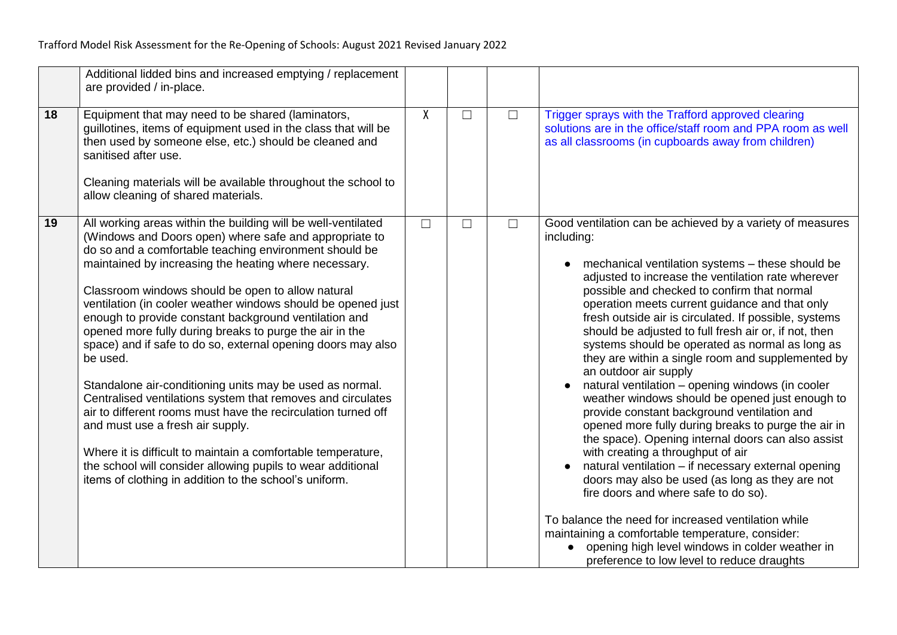|    | Additional lidded bins and increased emptying / replacement<br>are provided / in-place.                                                                                                                                                                                                                                                                                                                                                                                                                                                                                                                                                                                                                                                                                                                                                                                                                                                                                                  |        |        |        |                                                                                                                                                                                                                                                                                                                                                                                                                                                                                                                                                                                                                                                                                                                                                                                                                                                                                                                                                                                                                                                                                                                                                                                                                          |
|----|------------------------------------------------------------------------------------------------------------------------------------------------------------------------------------------------------------------------------------------------------------------------------------------------------------------------------------------------------------------------------------------------------------------------------------------------------------------------------------------------------------------------------------------------------------------------------------------------------------------------------------------------------------------------------------------------------------------------------------------------------------------------------------------------------------------------------------------------------------------------------------------------------------------------------------------------------------------------------------------|--------|--------|--------|--------------------------------------------------------------------------------------------------------------------------------------------------------------------------------------------------------------------------------------------------------------------------------------------------------------------------------------------------------------------------------------------------------------------------------------------------------------------------------------------------------------------------------------------------------------------------------------------------------------------------------------------------------------------------------------------------------------------------------------------------------------------------------------------------------------------------------------------------------------------------------------------------------------------------------------------------------------------------------------------------------------------------------------------------------------------------------------------------------------------------------------------------------------------------------------------------------------------------|
| 18 | Equipment that may need to be shared (laminators,<br>guillotines, items of equipment used in the class that will be<br>then used by someone else, etc.) should be cleaned and<br>sanitised after use.<br>Cleaning materials will be available throughout the school to<br>allow cleaning of shared materials.                                                                                                                                                                                                                                                                                                                                                                                                                                                                                                                                                                                                                                                                            | X      | $\Box$ | $\Box$ | Trigger sprays with the Trafford approved clearing<br>solutions are in the office/staff room and PPA room as well<br>as all classrooms (in cupboards away from children)                                                                                                                                                                                                                                                                                                                                                                                                                                                                                                                                                                                                                                                                                                                                                                                                                                                                                                                                                                                                                                                 |
| 19 | All working areas within the building will be well-ventilated<br>(Windows and Doors open) where safe and appropriate to<br>do so and a comfortable teaching environment should be<br>maintained by increasing the heating where necessary.<br>Classroom windows should be open to allow natural<br>ventilation (in cooler weather windows should be opened just<br>enough to provide constant background ventilation and<br>opened more fully during breaks to purge the air in the<br>space) and if safe to do so, external opening doors may also<br>be used.<br>Standalone air-conditioning units may be used as normal.<br>Centralised ventilations system that removes and circulates<br>air to different rooms must have the recirculation turned off<br>and must use a fresh air supply.<br>Where it is difficult to maintain a comfortable temperature,<br>the school will consider allowing pupils to wear additional<br>items of clothing in addition to the school's uniform. | $\Box$ | П      | $\Box$ | Good ventilation can be achieved by a variety of measures<br>including:<br>mechanical ventilation systems - these should be<br>$\bullet$<br>adjusted to increase the ventilation rate wherever<br>possible and checked to confirm that normal<br>operation meets current guidance and that only<br>fresh outside air is circulated. If possible, systems<br>should be adjusted to full fresh air or, if not, then<br>systems should be operated as normal as long as<br>they are within a single room and supplemented by<br>an outdoor air supply<br>natural ventilation - opening windows (in cooler<br>weather windows should be opened just enough to<br>provide constant background ventilation and<br>opened more fully during breaks to purge the air in<br>the space). Opening internal doors can also assist<br>with creating a throughput of air<br>natural ventilation - if necessary external opening<br>doors may also be used (as long as they are not<br>fire doors and where safe to do so).<br>To balance the need for increased ventilation while<br>maintaining a comfortable temperature, consider:<br>opening high level windows in colder weather in<br>preference to low level to reduce draughts |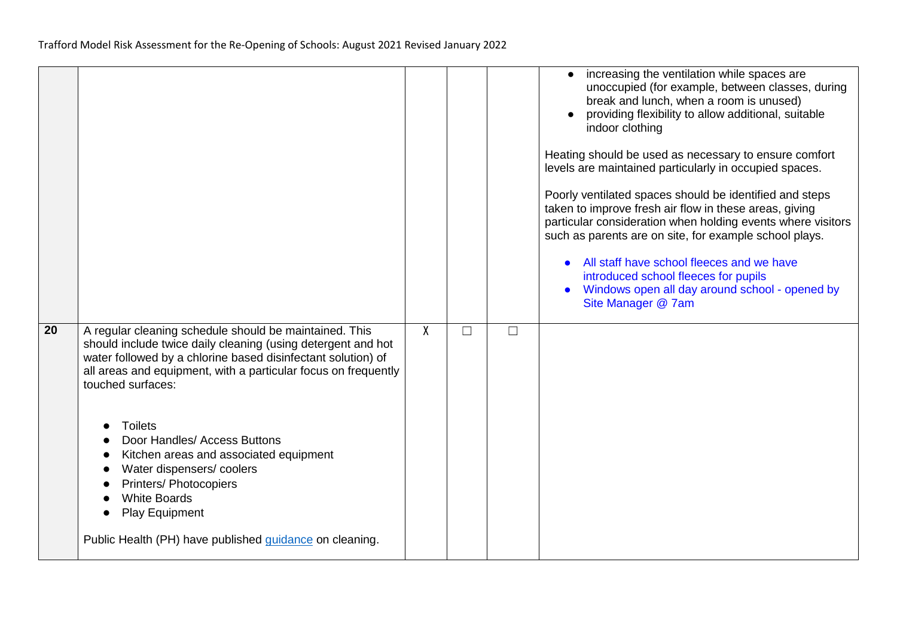|    |                                                                                                                                                                                                                                                                                                                                                                                                                                 |   |        |        | increasing the ventilation while spaces are<br>$\bullet$<br>unoccupied (for example, between classes, during<br>break and lunch, when a room is unused)<br>providing flexibility to allow additional, suitable<br>indoor clothing<br>Heating should be used as necessary to ensure comfort<br>levels are maintained particularly in occupied spaces.<br>Poorly ventilated spaces should be identified and steps<br>taken to improve fresh air flow in these areas, giving<br>particular consideration when holding events where visitors<br>such as parents are on site, for example school plays.<br>All staff have school fleeces and we have<br>introduced school fleeces for pupils<br>Windows open all day around school - opened by<br>Site Manager @ 7am |
|----|---------------------------------------------------------------------------------------------------------------------------------------------------------------------------------------------------------------------------------------------------------------------------------------------------------------------------------------------------------------------------------------------------------------------------------|---|--------|--------|-----------------------------------------------------------------------------------------------------------------------------------------------------------------------------------------------------------------------------------------------------------------------------------------------------------------------------------------------------------------------------------------------------------------------------------------------------------------------------------------------------------------------------------------------------------------------------------------------------------------------------------------------------------------------------------------------------------------------------------------------------------------|
| 20 | A regular cleaning schedule should be maintained. This<br>should include twice daily cleaning (using detergent and hot<br>water followed by a chlorine based disinfectant solution) of<br>all areas and equipment, with a particular focus on frequently<br>touched surfaces:<br><b>Toilets</b><br>Door Handles/ Access Buttons<br>Kitchen areas and associated equipment<br>Water dispensers/coolers<br>Printers/ Photocopiers | X | $\Box$ | $\Box$ |                                                                                                                                                                                                                                                                                                                                                                                                                                                                                                                                                                                                                                                                                                                                                                 |
|    | <b>White Boards</b><br>Play Equipment<br>Public Health (PH) have published guidance on cleaning.                                                                                                                                                                                                                                                                                                                                |   |        |        |                                                                                                                                                                                                                                                                                                                                                                                                                                                                                                                                                                                                                                                                                                                                                                 |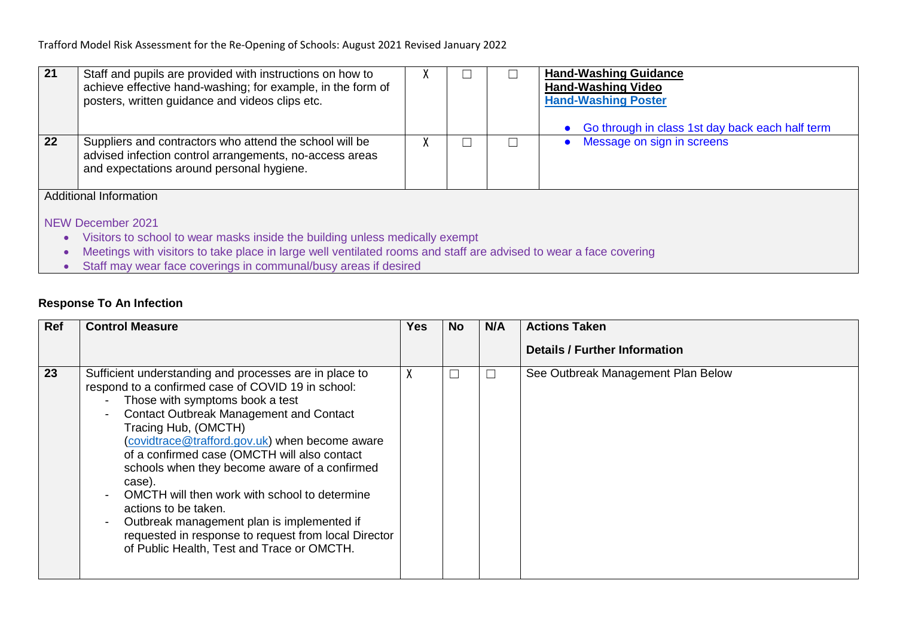| 21                            | Staff and pupils are provided with instructions on how to<br>achieve effective hand-washing; for example, in the form of<br>posters, written guidance and videos clips etc.                       | Λ |  |  | <b>Hand-Washing Guidance</b><br><b>Hand-Washing Video</b><br><b>Hand-Washing Poster</b><br>Go through in class 1st day back each half term |  |  |  |
|-------------------------------|---------------------------------------------------------------------------------------------------------------------------------------------------------------------------------------------------|---|--|--|--------------------------------------------------------------------------------------------------------------------------------------------|--|--|--|
| 22                            | Suppliers and contractors who attend the school will be<br>advised infection control arrangements, no-access areas<br>and expectations around personal hygiene.                                   | ⋏ |  |  | Message on sign in screens                                                                                                                 |  |  |  |
| <b>Additional Information</b> |                                                                                                                                                                                                   |   |  |  |                                                                                                                                            |  |  |  |
| NEW December 2021             |                                                                                                                                                                                                   |   |  |  |                                                                                                                                            |  |  |  |
| $\bullet$                     | Visitors to school to wear masks inside the building unless medically exempt<br>Meetings with visitors to take place in large well ventilated rooms and staff are advised to wear a face covering |   |  |  |                                                                                                                                            |  |  |  |
| $\bullet$<br>$\bullet$        | Staff may wear face coverings in communal/busy areas if desired                                                                                                                                   |   |  |  |                                                                                                                                            |  |  |  |
|                               |                                                                                                                                                                                                   |   |  |  |                                                                                                                                            |  |  |  |

# **Response To An Infection**

| Ref | <b>Control Measure</b>                                                                                                                                                                                                                                                                                                                                                                                                                                          | Yes |     | N/A | <b>Actions Taken</b>                 |
|-----|-----------------------------------------------------------------------------------------------------------------------------------------------------------------------------------------------------------------------------------------------------------------------------------------------------------------------------------------------------------------------------------------------------------------------------------------------------------------|-----|-----|-----|--------------------------------------|
|     |                                                                                                                                                                                                                                                                                                                                                                                                                                                                 |     | No. |     |                                      |
|     |                                                                                                                                                                                                                                                                                                                                                                                                                                                                 |     |     |     | <b>Details / Further Information</b> |
|     |                                                                                                                                                                                                                                                                                                                                                                                                                                                                 |     |     |     |                                      |
| 23  | Sufficient understanding and processes are in place to<br>respond to a confirmed case of COVID 19 in school:<br>Those with symptoms book a test<br><b>Contact Outbreak Management and Contact</b><br>Tracing Hub, (OMCTH)<br>(covidtrace@trafford.gov.uk) when become aware<br>of a confirmed case (OMCTH will also contact<br>schools when they become aware of a confirmed<br>case).<br>OMCTH will then work with school to determine<br>actions to be taken. |     | Ш   |     | See Outbreak Management Plan Below   |
|     | Outbreak management plan is implemented if<br>requested in response to request from local Director<br>of Public Health, Test and Trace or OMCTH.                                                                                                                                                                                                                                                                                                                |     |     |     |                                      |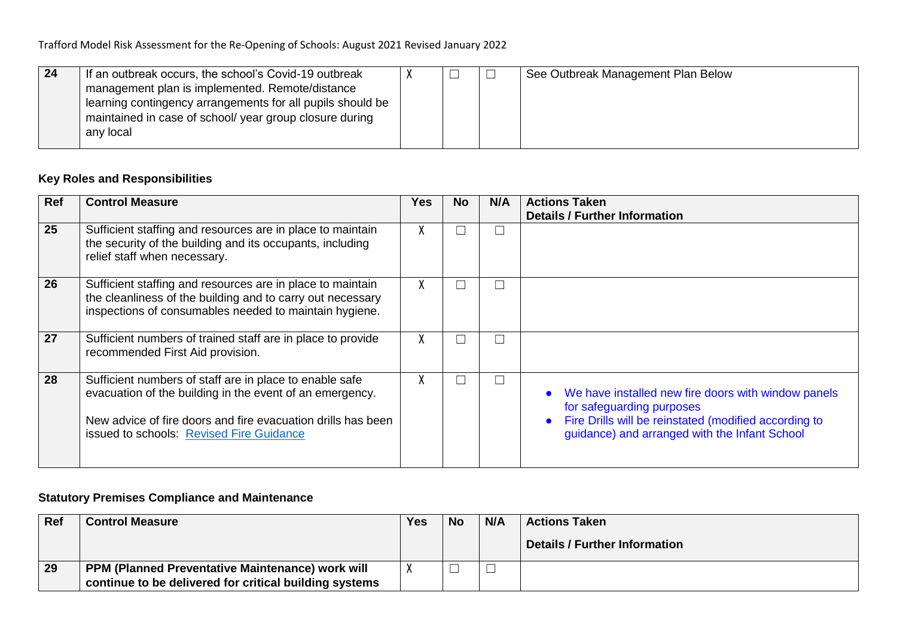| 24 | If an outbreak occurs, the school's Covid-19 outbreak      |  | See Outbreak Management Plan Below |
|----|------------------------------------------------------------|--|------------------------------------|
|    | management plan is implemented. Remote/distance            |  |                                    |
|    | learning contingency arrangements for all pupils should be |  |                                    |
|    | maintained in case of school/ year group closure during    |  |                                    |
|    | any local                                                  |  |                                    |
|    |                                                            |  |                                    |

## **Key Roles and Responsibilities**

| Ref | <b>Control Measure</b>                                                                                                                                                                                                          | Yes          | <b>No</b> | N/A    | <b>Actions Taken</b><br><b>Details / Further Information</b>                                                                                                                                                         |
|-----|---------------------------------------------------------------------------------------------------------------------------------------------------------------------------------------------------------------------------------|--------------|-----------|--------|----------------------------------------------------------------------------------------------------------------------------------------------------------------------------------------------------------------------|
| 25  | Sufficient staffing and resources are in place to maintain<br>the security of the building and its occupants, including<br>relief staff when necessary.                                                                         | $\Lambda$    |           | $\Box$ |                                                                                                                                                                                                                      |
| 26  | Sufficient staffing and resources are in place to maintain<br>the cleanliness of the building and to carry out necessary<br>inspections of consumables needed to maintain hygiene.                                              | $\mathbf{A}$ |           | $\Box$ |                                                                                                                                                                                                                      |
| 27  | Sufficient numbers of trained staff are in place to provide<br>recommended First Aid provision.                                                                                                                                 | $\Lambda$    |           | $\Box$ |                                                                                                                                                                                                                      |
| 28  | Sufficient numbers of staff are in place to enable safe<br>evacuation of the building in the event of an emergency.<br>New advice of fire doors and fire evacuation drills has been<br>issued to schools: Revised Fire Guidance | $\mathbf{A}$ |           | $\Box$ | We have installed new fire doors with window panels<br>$\bullet$<br>for safeguarding purposes<br>Fire Drills will be reinstated (modified according to<br>$\bullet$<br>guidance) and arranged with the Infant School |

## **Statutory Premises Compliance and Maintenance**

| $ $ Ref | <b>Control Measure</b>                                  | <b>Yes</b> | <b>No</b> | N/A | <b>Actions Taken</b>          |
|---------|---------------------------------------------------------|------------|-----------|-----|-------------------------------|
|         |                                                         |            |           |     | Details / Further Information |
| 29      | <b>PPM (Planned Preventative Maintenance) work will</b> |            |           |     |                               |
|         | continue to be delivered for critical building systems  |            |           |     |                               |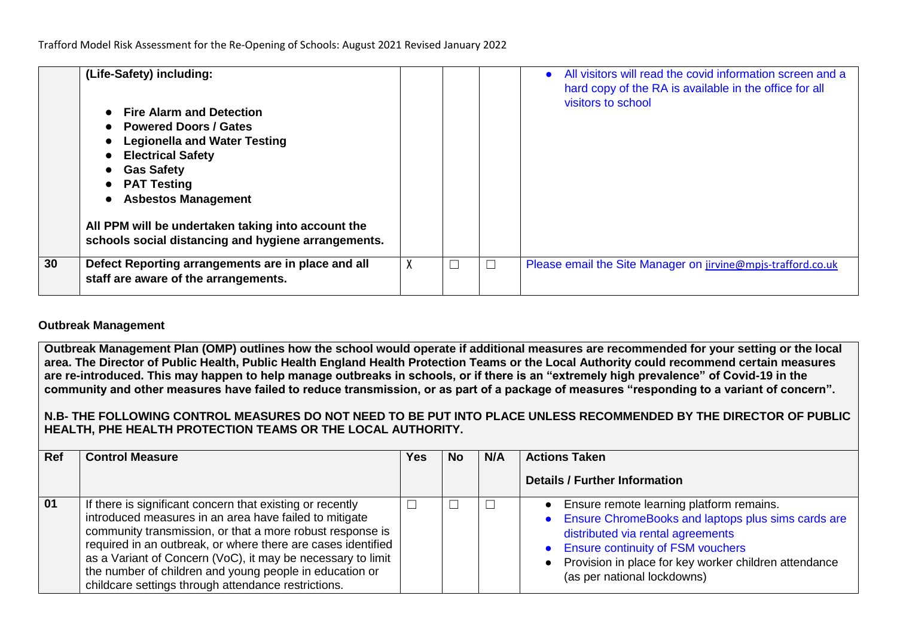|    | (Life-Safety) including:<br><b>Fire Alarm and Detection</b><br><b>Powered Doors / Gates</b><br><b>Legionella and Water Testing</b><br><b>Electrical Safety</b><br><b>Gas Safety</b><br><b>PAT Testing</b><br><b>Asbestos Management</b><br>All PPM will be undertaken taking into account the<br>schools social distancing and hygiene arrangements. |   |  | All visitors will read the covid information screen and a<br>$\bullet$<br>hard copy of the RA is available in the office for all<br>visitors to school |
|----|------------------------------------------------------------------------------------------------------------------------------------------------------------------------------------------------------------------------------------------------------------------------------------------------------------------------------------------------------|---|--|--------------------------------------------------------------------------------------------------------------------------------------------------------|
| 30 | Defect Reporting arrangements are in place and all<br>staff are aware of the arrangements.                                                                                                                                                                                                                                                           | χ |  | Please email the Site Manager on jirvine@mpjs-trafford.co.uk                                                                                           |

### **Outbreak Management**

**Outbreak Management Plan (OMP) outlines how the school would operate if additional measures are recommended for your setting or the local area. The Director of Public Health, Public Health England Health Protection Teams or the Local Authority could recommend certain measures are re-introduced. This may happen to help manage outbreaks in schools, or if there is an "extremely high prevalence" of Covid-19 in the community and other measures have failed to reduce transmission, or as part of a package of measures "responding to a variant of concern".**

### **N.B- THE FOLLOWING CONTROL MEASURES DO NOT NEED TO BE PUT INTO PLACE UNLESS RECOMMENDED BY THE DIRECTOR OF PUBLIC HEALTH, PHE HEALTH PROTECTION TEAMS OR THE LOCAL AUTHORITY.**

| Ref | <b>Control Measure</b>                                                                                                                                                                                                                                                                                                                                                                                                            | Yes | <b>No</b> | N/A | <b>Actions Taken</b>                                                                                                                                                                                                                                                     |
|-----|-----------------------------------------------------------------------------------------------------------------------------------------------------------------------------------------------------------------------------------------------------------------------------------------------------------------------------------------------------------------------------------------------------------------------------------|-----|-----------|-----|--------------------------------------------------------------------------------------------------------------------------------------------------------------------------------------------------------------------------------------------------------------------------|
|     |                                                                                                                                                                                                                                                                                                                                                                                                                                   |     |           |     | <b>Details / Further Information</b>                                                                                                                                                                                                                                     |
| 01  | If there is significant concern that existing or recently<br>introduced measures in an area have failed to mitigate<br>community transmission, or that a more robust response is<br>required in an outbreak, or where there are cases identified<br>as a Variant of Concern (VoC), it may be necessary to limit<br>the number of children and young people in education or<br>childcare settings through attendance restrictions. |     |           |     | • Ensure remote learning platform remains.<br>• Ensure ChromeBooks and laptops plus sims cards are<br>distributed via rental agreements<br>• Ensure continuity of FSM vouchers<br>• Provision in place for key worker children attendance<br>(as per national lockdowns) |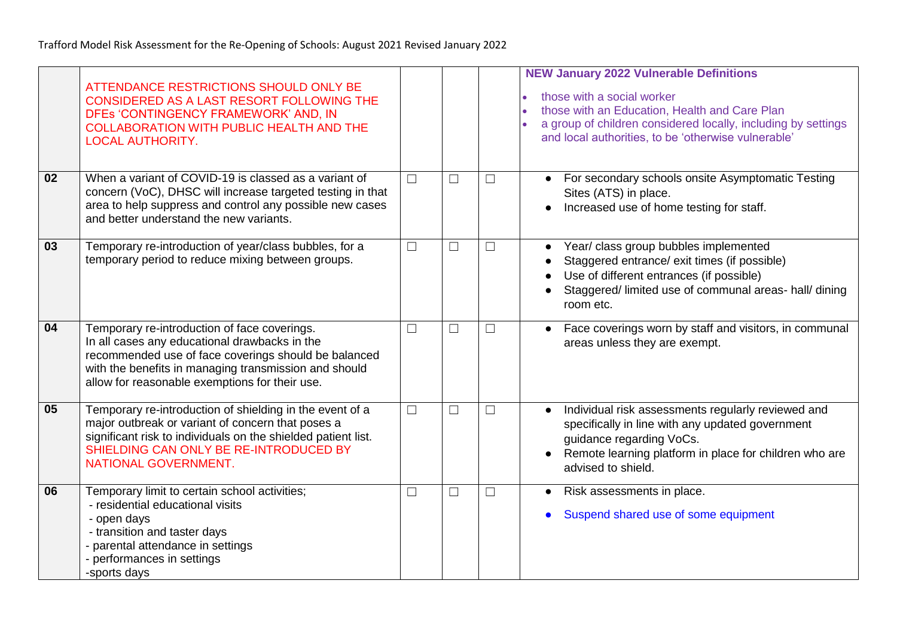|    | ATTENDANCE RESTRICTIONS SHOULD ONLY BE<br>CONSIDERED AS A LAST RESORT FOLLOWING THE<br>DFEs 'CONTINGENCY FRAMEWORK' AND, IN<br><b>COLLABORATION WITH PUBLIC HEALTH AND THE</b><br><b>LOCAL AUTHORITY.</b>                                                        |        |        |          | <b>NEW January 2022 Vulnerable Definitions</b><br>those with a social worker<br>those with an Education, Health and Care Plan<br>a group of children considered locally, including by settings<br>and local authorities, to be 'otherwise vulnerable' |
|----|------------------------------------------------------------------------------------------------------------------------------------------------------------------------------------------------------------------------------------------------------------------|--------|--------|----------|-------------------------------------------------------------------------------------------------------------------------------------------------------------------------------------------------------------------------------------------------------|
| 02 | When a variant of COVID-19 is classed as a variant of<br>concern (VoC), DHSC will increase targeted testing in that<br>area to help suppress and control any possible new cases<br>and better understand the new variants.                                       | $\Box$ | $\Box$ | $\Box$   | For secondary schools onsite Asymptomatic Testing<br>Sites (ATS) in place.<br>Increased use of home testing for staff.                                                                                                                                |
| 03 | Temporary re-introduction of year/class bubbles, for a<br>temporary period to reduce mixing between groups.                                                                                                                                                      | $\Box$ | $\Box$ | $\Box$   | Year/ class group bubbles implemented<br>$\bullet$<br>Staggered entrance/ exit times (if possible)<br>Use of different entrances (if possible)<br>Staggered/ limited use of communal areas- hall/ dining<br>room etc.                                 |
| 04 | Temporary re-introduction of face coverings.<br>In all cases any educational drawbacks in the<br>recommended use of face coverings should be balanced<br>with the benefits in managing transmission and should<br>allow for reasonable exemptions for their use. | $\Box$ | $\Box$ | $\sqcup$ | Face coverings worn by staff and visitors, in communal<br>areas unless they are exempt.                                                                                                                                                               |
| 05 | Temporary re-introduction of shielding in the event of a<br>major outbreak or variant of concern that poses a<br>significant risk to individuals on the shielded patient list.<br>SHIELDING CAN ONLY BE RE-INTRODUCED BY<br>NATIONAL GOVERNMENT.                 | $\Box$ | $\Box$ | $\Box$   | Individual risk assessments regularly reviewed and<br>specifically in line with any updated government<br>guidance regarding VoCs.<br>Remote learning platform in place for children who are<br>advised to shield.                                    |
| 06 | Temporary limit to certain school activities;<br>- residential educational visits<br>- open days<br>- transition and taster days<br>- parental attendance in settings<br>- performances in settings<br>-sports days                                              | $\Box$ | $\Box$ | $\Box$   | Risk assessments in place.<br>Suspend shared use of some equipment                                                                                                                                                                                    |